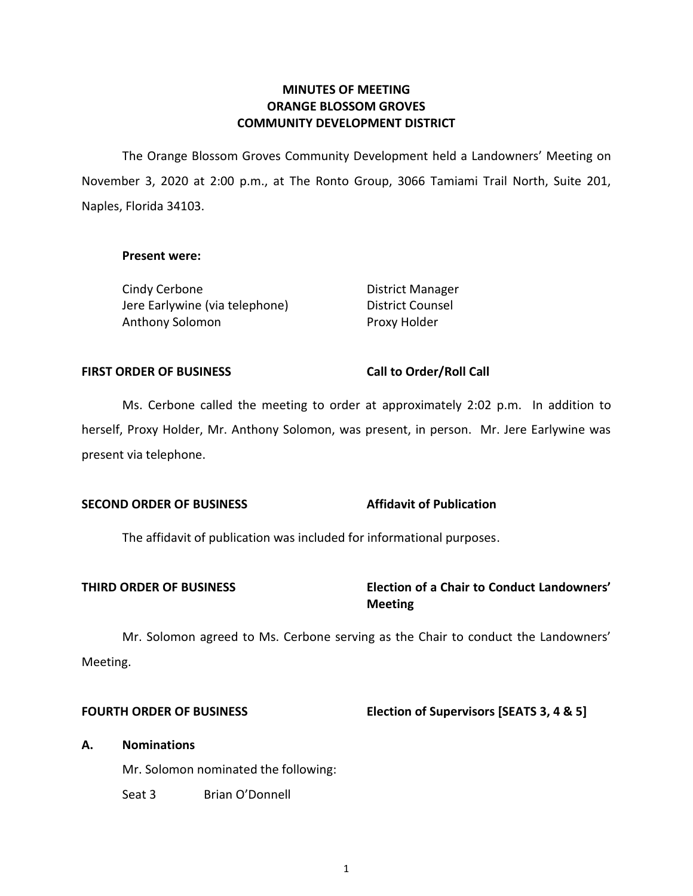# **ORANGE BLOSSOM GROVES COMMUNITY DEVELOPMENT DISTRICT MINUTES OF MEETING**

 The Orange Blossom Groves Community Development held a Landowners' Meeting on November 3, 2020 at 2:00 p.m., at The Ronto Group, 3066 Tamiami Trail North, Suite 201, Naples, Florida 34103.

# **Present were:**

Cindy Cerbone **District Manager** Jere Earlywine (via telephone) Anthony Solomon Proxy Holder

**District Counsel** 

#### **FIRST ORDER OF BUSINESS**

#### **Call to Order/Roll Call**

 Ms. Cerbone called the meeting to order at approximately 2:02 p.m. In addition to herself, Proxy Holder, Mr. Anthony Solomon, was present, in person. Mr. Jere Earlywine was present via telephone.

#### **Affidavit of Publication SECOND ORDER OF BUSINESS**

The affidavit of publication was included for informational purposes.

# **THIRD ORDER OF BUSINESS Election of a Chair to Conduct Landowners' Meeting**

 Mr. Solomon agreed to Ms. Cerbone serving as the Chair to conduct the Landowners' Meeting.

#### **FOURTH ORDER OF BUSINESS**

# **Flection of Supervisors [SEATS 3, 4 & 5]**

#### **A. Nominations**

Mr. Solomon nominated the following:

Seat 3 Brian O'Donnell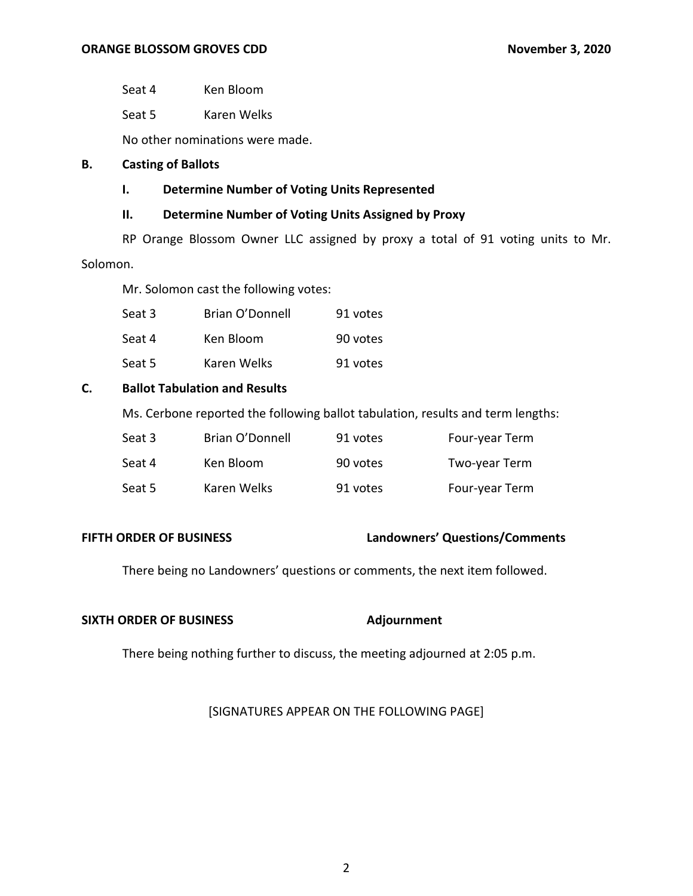Seat 4 Ken Bloom

Seat 5 Karen Welks

No other nominations were made.

# **B. Casting of Ballots**

# **I. Determine Number of Voting Units Represented**

# **II. Determine Number of Voting Units Assigned by Proxy**

 RP Orange Blossom Owner LLC assigned by proxy a total of 91 voting units to Mr. Solomon.

Mr. Solomon cast the following votes:

| Seat 3 | Brian O'Donnell | 91 votes |
|--------|-----------------|----------|
| Seat 4 | Ken Bloom       | 90 votes |
| Seat 5 | Karen Welks     | 91 votes |

# **C. Ballot Tabulation and Results**

Ms. Cerbone reported the following ballot tabulation, results and term lengths:

| Seat 3 | Brian O'Donnell | 91 votes | Four-year Term |
|--------|-----------------|----------|----------------|
| Seat 4 | Ken Bloom       | 90 votes | Two-year Term  |
| Seat 5 | Karen Welks     | 91 votes | Four-year Term |

#### **FIFTH ORDER OF BUSINESS**

#### **FIFTH ORDER OF BUSINESS Landowners' Questions/Comments**

There being no Landowners' questions or comments, the next item followed.

#### **SIXTH ORDER OF BUSINESS Adjournment**

There being nothing further to discuss, the meeting adjourned at 2:05 p.m.

# [SIGNATURES APPEAR ON THE FOLLOWING PAGE]